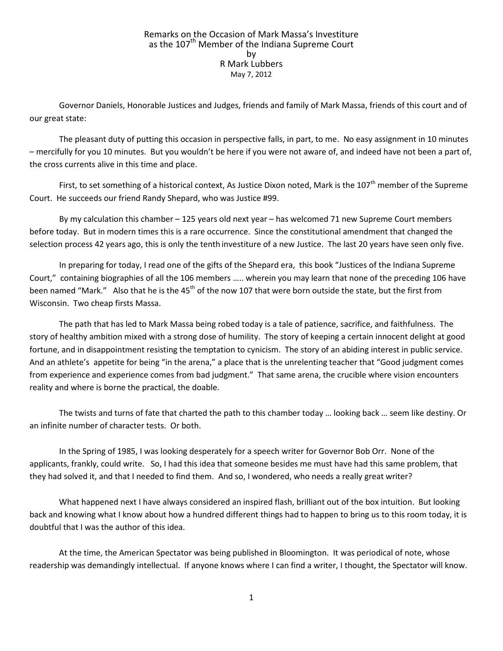## Remarks on the Occasion of Mark Massa's Investiture as the 107<sup>th</sup> Member of the Indiana Supreme Court by R Mark Lubbers May 7, 2012

Governor Daniels, Honorable Justices and Judges, friends and family of Mark Massa, friends of this court and of our great state:

The pleasant duty of putting this occasion in perspective falls, in part, to me. No easy assignment in 10 minutes – mercifully for you 10 minutes. But you wouldn't be here if you were not aware of, and indeed have not been a part of, the cross currents alive in this time and place.

First, to set something of a historical context, As Justice Dixon noted, Mark is the  $107<sup>th</sup>$  member of the Supreme Court. He succeeds our friend Randy Shepard, who was Justice #99.

By my calculation this chamber – 125 years old next year – has welcomed 71 new Supreme Court members before today. But in modern times this is a rare occurrence. Since the constitutional amendment that changed the selection process 42 years ago, this is only the tenth investiture of a new Justice. The last 20 years have seen only five.

In preparing for today, I read one of the gifts of the Shepard era, this book "Justices of the Indiana Supreme Court," containing biographies of all the 106 members ….. wherein you may learn that none of the preceding 106 have been named "Mark." Also that he is the 45<sup>th</sup> of the now 107 that were born outside the state, but the first from Wisconsin. Two cheap firsts Massa.

The path that has led to Mark Massa being robed today is a tale of patience, sacrifice, and faithfulness. The story of healthy ambition mixed with a strong dose of humility. The story of keeping a certain innocent delight at good fortune, and in disappointment resisting the temptation to cynicism. The story of an abiding interest in public service. And an athlete's appetite for being "in the arena," a place that is the unrelenting teacher that "Good judgment comes from experience and experience comes from bad judgment." That same arena, the crucible where vision encounters reality and where is borne the practical, the doable.

The twists and turns of fate that charted the path to this chamber today … looking back … seem like destiny. Or an infinite number of character tests. Or both.

In the Spring of 1985, I was looking desperately for a speech writer for Governor Bob Orr. None of the applicants, frankly, could write. So, I had this idea that someone besides me must have had this same problem, that they had solved it, and that I needed to find them. And so, I wondered, who needs a really great writer?

What happened next I have always considered an inspired flash, brilliant out of the box intuition. But looking back and knowing what I know about how a hundred different things had to happen to bring us to this room today, it is doubtful that I was the author of this idea.

At the time, the American Spectator was being published in Bloomington. It was periodical of note, whose readership was demandingly intellectual. If anyone knows where I can find a writer, I thought, the Spectator will know.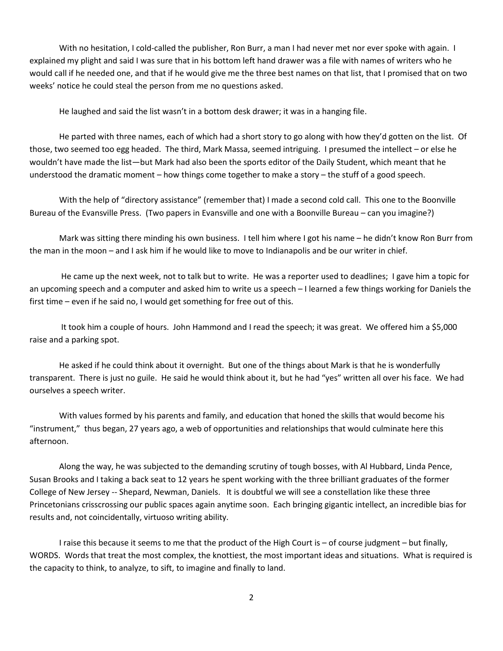With no hesitation, I cold-called the publisher, Ron Burr, a man I had never met nor ever spoke with again. I explained my plight and said I was sure that in his bottom left hand drawer was a file with names of writers who he would call if he needed one, and that if he would give me the three best names on that list, that I promised that on two weeks' notice he could steal the person from me no questions asked.

He laughed and said the list wasn't in a bottom desk drawer; it was in a hanging file.

He parted with three names, each of which had a short story to go along with how they'd gotten on the list. Of those, two seemed too egg headed. The third, Mark Massa, seemed intriguing. I presumed the intellect – or else he wouldn't have made the list—but Mark had also been the sports editor of the Daily Student, which meant that he understood the dramatic moment – how things come together to make a story – the stuff of a good speech.

With the help of "directory assistance" (remember that) I made a second cold call. This one to the Boonville Bureau of the Evansville Press. (Two papers in Evansville and one with a Boonville Bureau – can you imagine?)

Mark was sitting there minding his own business. I tell him where I got his name – he didn't know Ron Burr from the man in the moon – and I ask him if he would like to move to Indianapolis and be our writer in chief.

He came up the next week, not to talk but to write. He was a reporter used to deadlines; I gave him a topic for an upcoming speech and a computer and asked him to write us a speech – I learned a few things working for Daniels the first time – even if he said no, I would get something for free out of this.

It took him a couple of hours. John Hammond and I read the speech; it was great. We offered him a \$5,000 raise and a parking spot.

He asked if he could think about it overnight. But one of the things about Mark is that he is wonderfully transparent. There is just no guile. He said he would think about it, but he had "yes" written all over his face. We had ourselves a speech writer.

With values formed by his parents and family, and education that honed the skills that would become his "instrument," thus began, 27 years ago, a web of opportunities and relationships that would culminate here this afternoon.

Along the way, he was subjected to the demanding scrutiny of tough bosses, with Al Hubbard, Linda Pence, Susan Brooks and I taking a back seat to 12 years he spent working with the three brilliant graduates of the former College of New Jersey -- Shepard, Newman, Daniels. It is doubtful we will see a constellation like these three Princetonians crisscrossing our public spaces again anytime soon. Each bringing gigantic intellect, an incredible bias for results and, not coincidentally, virtuoso writing ability.

I raise this because it seems to me that the product of the High Court is – of course judgment – but finally, WORDS. Words that treat the most complex, the knottiest, the most important ideas and situations. What is required is the capacity to think, to analyze, to sift, to imagine and finally to land.